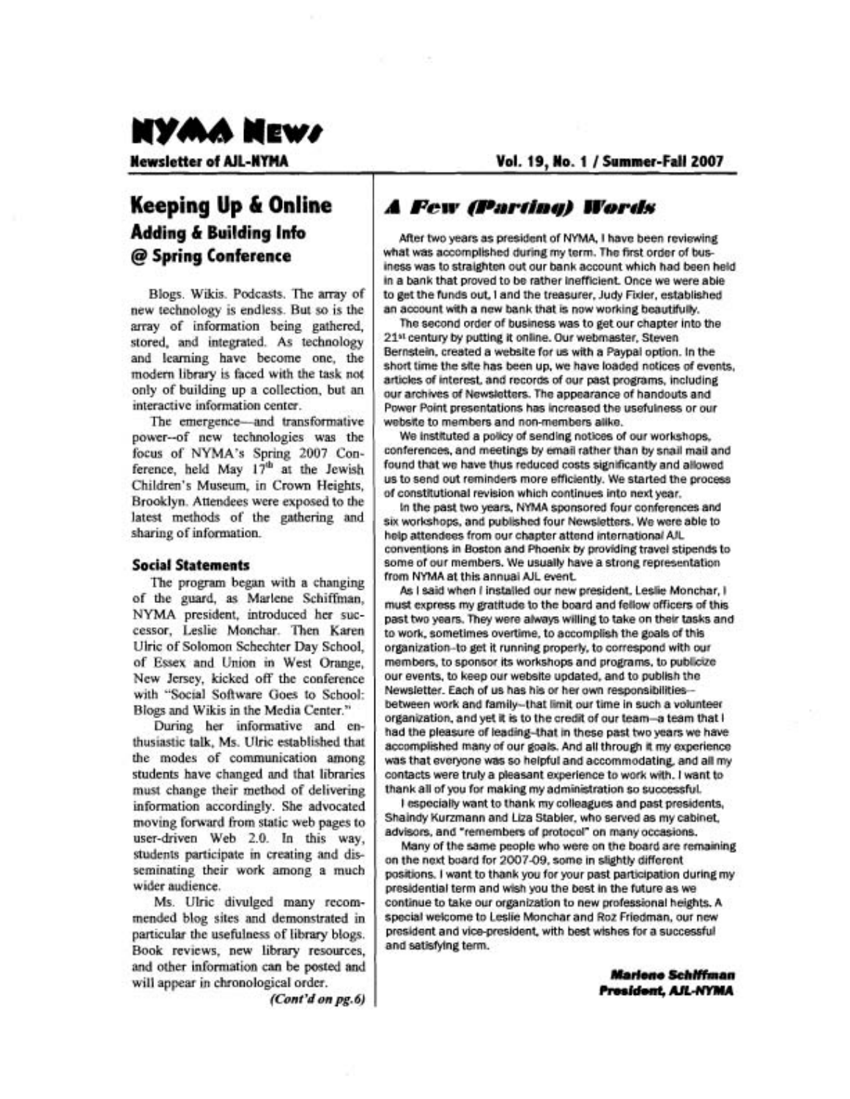

**Vol. 19, No. 1** / **Summer-Fall 2007** 

## **Keeping Up** & **Online Adding** & **Building Info**  @ **Spring Conference**

Blogs. Wikis. Podcasts. The array of new technology is endless. But so is the array of information being gathered, stored, and integrated. As technology and learning have become one, the modern library is faced with the task not only of building up a collection, but an interactive information center.

The emergence-and transformative power--of new technologies was the focus of NYMA's Spring 2007 Conference, held May 17<sup>th</sup> at the Jewish Children's Museum, in Crown Heights, Brooklyn. Attendees were exposed to the latest methods of the gathering and sharing of information.

#### **Social Statements**

The program began with a changing of the guard, as Marlene Schiffinan, NYMA president, introduced her successor, Leslie Monchar. Then Karen Ulric of Solomon Schechter Day School, of Essex and Union in West Orange, New Jersey, kicked off the conference with "Social Software Goes to School: Blogs and Wikis in the Media Center."

During her informative and enthusiastic talk, Ms. Ulric established that the modes of communication among students have changed and that libraries must change their method of delivering information accordingly. She advocated moving forward from static web pages to user-driven Web 2.0. In this way, students participate in creating and disseminating their work among a much wider audience.

Ms. Ulric divulged many recommended blog sites and demonstrated in particular the usefulness of library blogs. Book reviews, new library resources, and other information can be posted and will appear in chronological order.

**(Cont'don***pg.6)* 

### **A Few (Parting) Words**

After two years as president of NYMA, Ihave been reviewing what was accomplished during my term. The first order of business was to straighten out our bank account which had been held in a bank that proved to be rather inefficient. Once we were able to get the funds out, Iand the treasurer, Judy Fixler, established an account with a new bank that is now working beautifully.

The second order of business was to get our chapter into the 21<sup>st</sup> century by putting it online. Our webmaster, Steven Bernstein, created a website for us with a Paypal option. In the short time the site has been up, we have loaded notices of events, articles of interest, and records of our past programs, including our archives of Newsletters. The appearance of handouts and Power Point presentations has increased the usefulness or our website to members and non-members alike.

We instituted a policy of sending notices of our workshops, conferences, and meetings by email rather than by snail mail and found that we have thus reduced costs significantly and allowed us to send out reminders more efficiently. We started the process of constitutional revision which continues into next year.

In the past two years, NYMA sponsored four conferences and six workshops, and published four Newsletters. We were able to help attendees from our chapter attend international AIL conventions in Boston and Phoenix by providing travel stipends to some of our members. We usually have a strong representation from NYMA at this annual AIL event

As I said when I installed our new president, Leslie Monchar, I must express my gratitude to the board and fellow officers of this past two years. They were always willing to take on their tasks and to work, sometimes overtime, to accomplish the goals of this organization-to get it running properly, to correspond with our members, to sponsor its workshops and programs, to publicize our events, to keep our website updated, and to publish the Newsletter. Each of us has his or her own responsibilities- between work and family-that limit our time in such a volunteer organization, and yet it is to the credit of our team-a team that I had the pleasure of leading-that in these past two years we have accomplished many of our goals. And all through it my experience was that everyone was so helpful and accommodating, and all my contacts were truly a pleasant experience to work with. Iwant to thank all of you for making my administration so successful.

Iespecially want to thank my colleagues and past presidents, Shaindy Kurzmann and Liza Stabler, who served as my cabinet, advisors, and 'remembers of protocol" on many occasions.

Many of the same people who were on the board are remaining on the next board for 2007-09, some in slightly different positions. Iwant to thank you for your past participation during my presidential term and wish you the best in the future as we continue to take our organization to new professional heights. A special welcome to Leslie Monchar and Roz Friedman, our new president and vice-president, with best wishes for a successful and satisfying term.

> **Mariene Schiffman** President, AJL-NYMA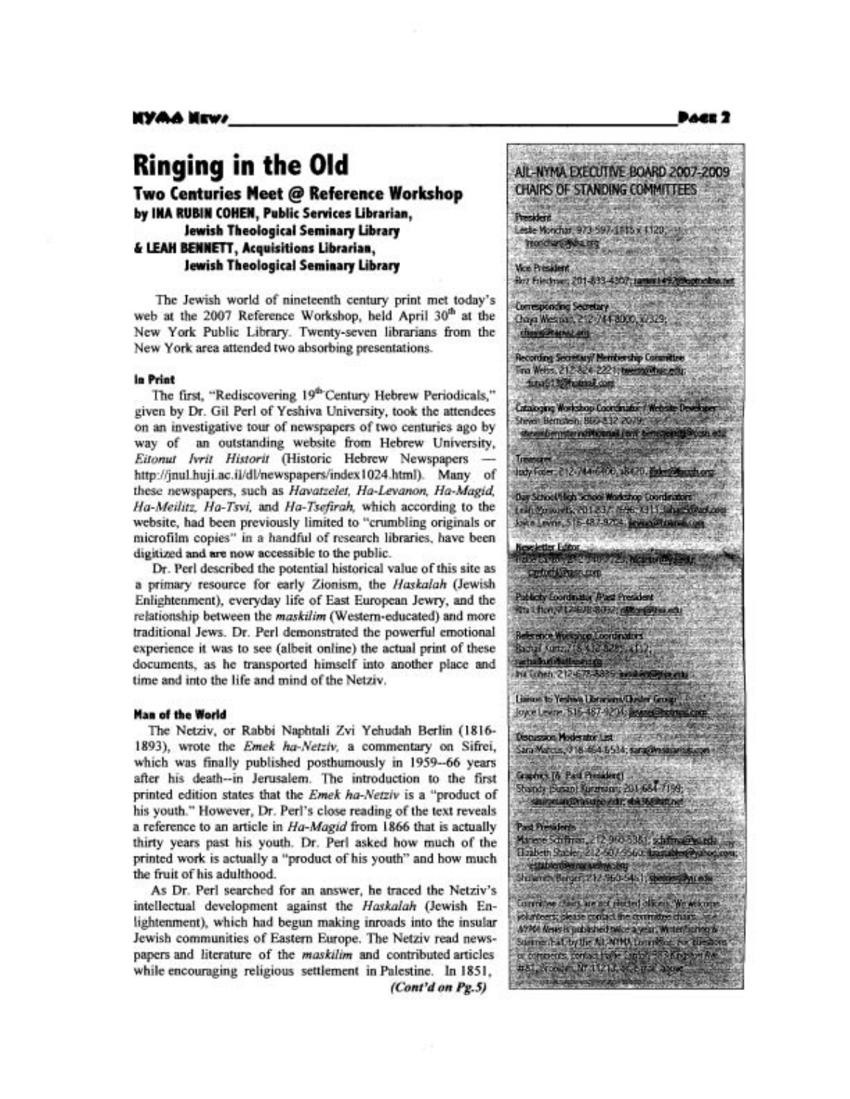# **Ringing in the Old**

**Two Centuries Meet** @ **Reference Workshop by INA RUBIN COHEN, Public Services Librarian, Jewish Theological Seminary Library**  & **LEAH BENNETT, Acquisitions Librarian, Jewish Theological Seminary Library** 

The Jewish world of nineteenth century print met today's web at the 2007 Reference Workshop, held April 30<sup>th</sup> at the New York Public Library. Twenty-seven librarians fiom the New York area attended two absorbing presentations.

#### **In Print**

The first, "Rediscovering 19<sup>th</sup> Century Hebrew Periodicals," given by Dr. Gil Perl of Yeshiva University, took the attendees on an investigative tour of newspapers of two centuries ago by way of an outstanding website fiom Hebrew University, on an investigative tour of newspapers of two centuries ago by<br>way of an outstanding website from Hebrew University,<br>Eitonut *Ivrit Historit* (Historic Hebrew Newspapers http://jnul.huji.ac.il/dl/newspapers/index1024.html). Many of these newspapers, such as Havatzelet, Ha-Levanon, Ha-Magid, Ha-Meilitz, Ha-Tsvi, and Ha-Tsefirah, which according to the website, had been previously limited to "crumbling originals or microfilm copies" in a handful of research libraries, have been digitized **and** are now accessible to the public.

Dr. Perl described the potential historical value of this site as a primary resource for early Zionism, the Haskalah (Jewish Enlightenment), everyday life of East European Jewry, and the relationship between the maskilim (Westem-educated) and more traditional Jews. Dr. Perl demonstrated the powerful emotional experience it was to see (albeit online) the actual print of these documents, as he transported himself into another place and time and into the life and mind of the Netziv.

#### **Man of the World**

The Netziv, or Rabbi Naphtali Zvi Yehudah Berlin (1816- 1893), wrote the Emek ha-Netziv, a commentary on Sifrei, which was finally published posthumously in 1959--66 years after his death--in Jerusalem. The introduction to the first printed edition states that the Emek ha-Netziv is a "product of his youth." However, Dr. Perl's close reading of the text reveals a reference to an article in Ha-Magid from 1866 that is actually thirty years past his youth. Dr. Perl asked how much of the printed work is actually a "product of his youth" and how much the fruit of his adulthood.

As Dr. Perl searched for an answer, he traced the Netziv's intellectual development against the Haskalah (Jewish Enlightenment), which had begun making inroads into the insular Jewish communities of Eastern Europe. The Netziv read newspapers and literature of the maskilim and contributed articles while encouraging religious settlement in Palestine. In 1851, *(Cont'd on* **Pg.5)** 



AIL-NYMA EXECUTIVE BOARD 2007-2009

**President** 

Publicity Coordinator (Past President Rts Chen, 212408-8057; differentiated a

Reference Workshop, Coordinators<br>Racial Kuma / (8, 9,00 828), 4112, serbadio di diatta Int Schen, 212-675-8835; availabilities and

Lisison to Yeshiva Librarians/Chester Group .... Joyce Levine, 516-487-9204; assessible translate

Discussion Moderator List **CONTRACTOR** Sara Mahcus, 916-464-5534; sara@msanarius.co

Guides [6 Paul President] Standy (Susan) Surgeons: 201-684-7199; shiraning this upo vide; shiranghatune!

Past Presidents Amere Schftren, 212,960-5381, schffre@wards Hzabeth Stabler, 212-607-9563, transitive Pyshop

estable demanding leg<br>Skilande Berger, 212-960-54-1, shekara demandi Committee chairs are not elected olivers. We wike our volunteers; please contact the committee chairs.... A1964 News is published twice a year, Winterfacting & Summit A Loy the ALACHA Loughbre, Av. Lies e communication de l'april 2000.<br>#Si scour Unit (113, 2001 - 2008

**DACE 2**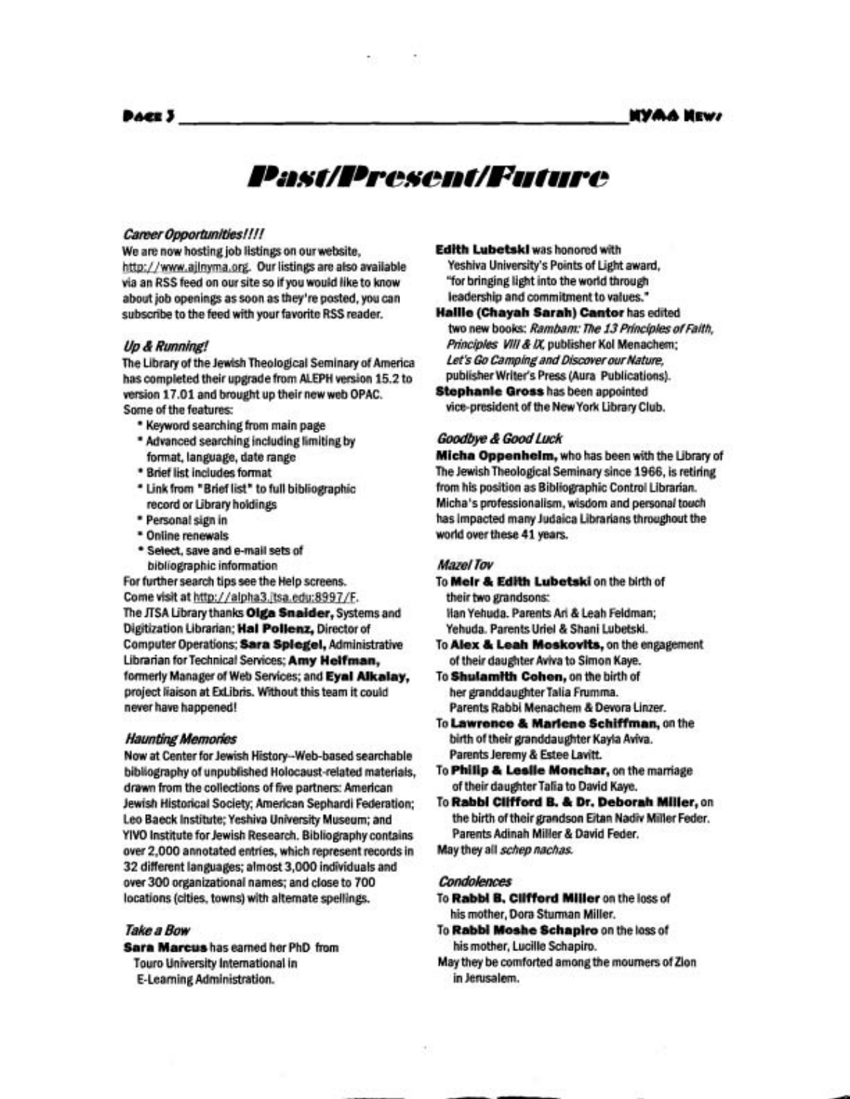# Past/Present/Future

#### **Career Opportunities!!!!**

We are now hosting job listings on ourwebsite, http://www.ailnyma.org. Our listings are also available via an RSS feed on our site so if you would like to know about job openings as soon as they're posted, you can subscribe to the feed with your favorite RSS reader.

#### **Up**&**Running!**

The Library of the Jewish Theological Seminary of America has completed their upgrade from ALEPH version 15.2 to version 17.01 and brought up their new web OPAC. Some of the features:

- \* Keyword searching from main page
- \* Advanced searching including limiting by format, language, date range
- \* Brief list includes format
- \* Link from "Brief list" to full bibliographic record or Library holdings
- \* Personal sign in
- \* Online renewals
- \* Select, save and e-mail sets of bibliographic information

For further search tips see the Help screens. Come visit at http://alpha3.itsa.edu:8997/F. The JTSA Library thanks **Olga Snaider,** Systems and Digitization Librarian; Hal Pollenz, Director of Computer Operations; **Sara Splegel,** Administrative Librarian forTechnical Services; **Amy Helfman,**  formerly Manager of Web Services; and **Eyal Alkalay,**  project liaison at ExLibris. Without this team it could never have happened!

#### **Haunting Memories**

Now at Center for Jewish History--Web-based searchable bibliography of unpublished Holocaust-related materials, drawn from the collections of five partners: American Jewish Historical Society; American Sephardi Federation; Leo Baeck Institute; Yeshiva University Museum; and YIVO Institute for Jewish Research. Bibliography contains over 2,000 annotated entries, which represent records in 32 different languages; almost 3,000 individuals and over300 organizational names; and close to 700 locations (cities, towns) with alternate spellings.

#### **Take a Bow**

**Sara Marcus** has earned her PhD from Touro University International in E-Learning Administration.

**Edith Lubetskl** was honored with Yeshiva University's Points of Light award, "for bringing light into the world through leadership and commitment to values."

**Hallle (Chayah Sarah) Cantor** has edited two new books: Rambam: The 13 Principles of Faith, Principles VIII & IX, publisher Kol Menachem; **Let's Go Camping and Discover our Nature,** publisher Writer's Press (Aura Publications). **Stephanie Gross** has been appointed

vice-president of the NewYork Library Club.

#### Goodbye & Good Luck

**Micha Oppenhelm,** who has been with the Library of The Jewish Theological Seminary since 1966, is retiring from his position as Bibliographic Control Librarian. Micha's professionalism, wisdom and personal touch has impacted many Judaica Librarians throughout the world over these 41years.

#### **Mazel Tov**

- To **Melr** & **Edlth Lubetski** on the birth of their two grandsons: llan Yehuda. Parents Ari & Leah Feldman; Yehuda. Parents Uriel & Shani Lubetski.
- To **Alex** & **Leah Moskovlts,** on the engagement of their daughter Aviva to Simon Kaye.
- To **Shulamlth Cohen,** on the birth of her granddaughter Talia Frumma. Parents Rabbi Menachem & Devora Linzer.
- To **Lawrence**& **Marlene Schiffman,** on the birth of their granddaughter Kayla Aviva. Parents Jeremy & Estee Lavitt.
- To **Phillp**& **Leslle Monchar,** on the maniage of their daughterTalia to David Kaye.
- To **Rabbl Cllfford** B. & **Dr. Deborah Mlller,** on the birth of their grandson Eitan Nadiv Miller Feder. Parents Adinah Miller & David Feder.

May they all **schep nachas.** 

#### **Condoknces**

- To **RabbiB. Cllfford Miller** on the loss of his mother, Dora Sturman Miller.
- To **Rabbi Moshe Schaplro** on the loss of his mother, Lucille Schapiro.
- May they be comforted amongthe mourners of Zion in Jerusalem.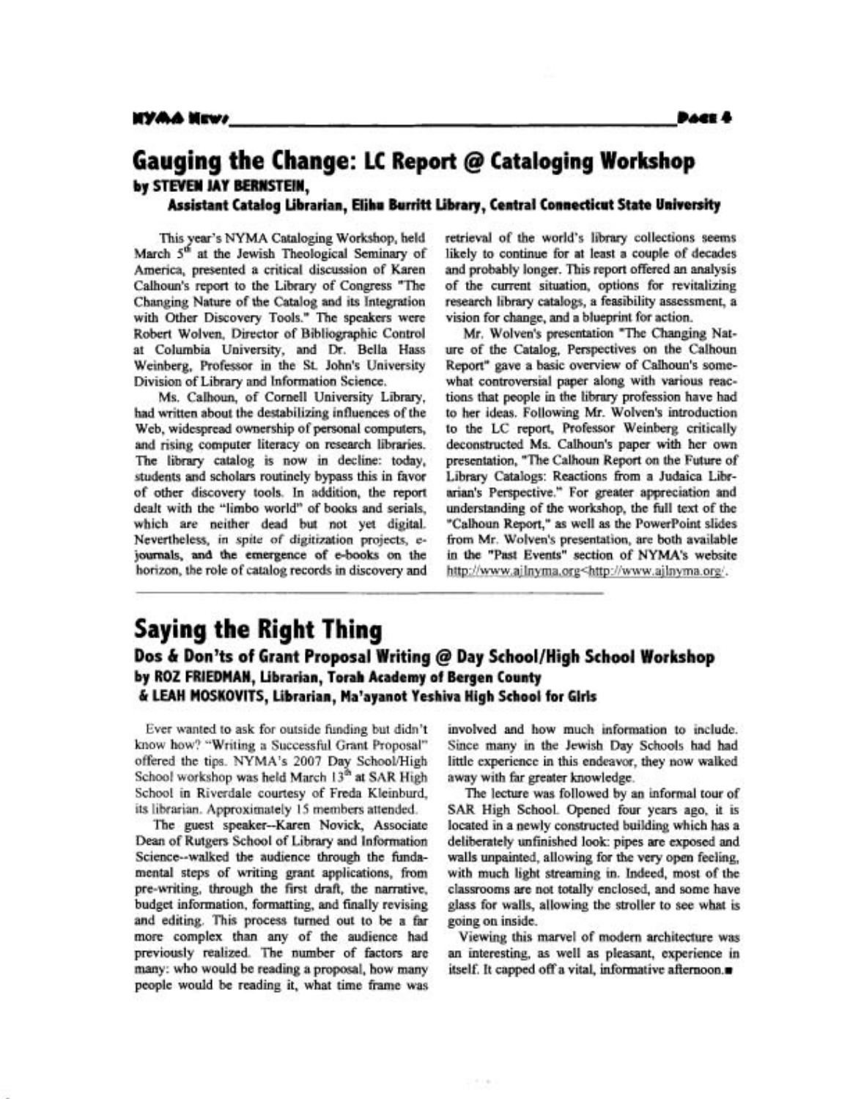## **Gauging the Change: LC Report** @ **Cataloging Workshop by STEVEN JAY BERNSTEIN,**

**Assistant Catalog Librarian, Elihu Burritt Library, Central Connecticut State University** 

This year's NYMA Cataloging Workshop, held March  $5<sup>th</sup>$  at the Jewish Theological Seminary of America, presented a critical discussion of Karen Calhoun's report to the Library of Congress "The Changing Nature of the Catalog and its Integration with Other Discovery Tools." The speakers were Robert Wolven, Director of Bibliographic Control at Columbia University, and Dr. Bella Hass Weinberg, Professor in the St. John's University Division of Library and Information Science.

Ms. Calhoun, of Cornell University Library, had written about the destabilizing influences of the Web, widespread ownership of personal computers, and rising computer literacy on research libraries. The library catalog is now in decline: today, students and scholars routinely bypass this in favor of other discovery tools. In addition, the report dealt with the "limbo world" of books and serials, which are neither dead but not yet digital. Nevertheless, in spite of digitization projects, e**journals, and** the emergence of e-books on the horizon, the role of catalog records in discovery and retrieval of the world's library collections seems likely to continue for at least a couple of decades and probably longer. This report offered an analysis of the current situation, options for revitalizing research library catalogs, a feasibility assessment, a vision for change, and a blueprint for action.

Mr. Wolven's presentation "The Changing Nature of the Catalog, Perspectives on the Calhoun Report" gave a basic overview of Calhoun's somewhat controversial paper along with various reactions that people in the library profession have had to her ideas. Following Mr. Wolven's introduction to the LC report, Professor Weinberg critically deconstructed Ms. Calhoun's paper with her own presentation, "The Calhoun Report on the Future of Library Catalogs: Reactions fiom a Judaica Librarian's Perspective." For greater appreciation and understanding of the workshop, the full text of the "Calhoun Report," as well as the PowetPoint slides from Mr. Wolven's presentation, are both available in the "Past Events" section of NYMA's website http://www.ailnyma.org<http://www.ailnyma.org/.

### **Saying the Right Thing Dos & Don'ts of Grant Proposal Writing @ Day School/High School Workshop by ROZ FRIEDMAN, Librarian, Torah Academy of Bergen County C LEAH MOSKOVITS, Librarian, Malayanot Yeshiva High School for Glrls**

Ever wanted to ask for outside funding but didn't know how? "Writing a Successful Grant Proposal" offered the tips. NYMA's 2007 Day School/High School workshop was held March 13<sup>th</sup> at SAR High School in Riverdale courtesy of Freda Kleinburd, its librarian. Approximately 15 members attended.

The guest speaker--Karen Novick, Associate Dean of Rutgers School of Library and Information Science--walked the audience through the fundamental steps of writing grant applications, from pre-writing, through the first **draft,** the narrative, budget information, formatting, and finally revising and editing. This process turned out to be a far more complex than any of the audience had previously realized. The number of factors are many: who would be reading a proposal, how many people would be reading it, what time frame was involved and how much information to include. Since many in the Jewish Day Schools had had little experience in this endeavor, they now walked away with **far** greater knowledge.

The lecture was followed by an informal tour of SAR High School. Opened four years ago, it is located in a newly constructed building which has a deliberately unfinished look: pipes are exposed and walls unpainted, allowing for the very open feeling, with much light streaming in. Indeed, most of the classrooms are not totally enclosed, and some have glass for walls, allowing the stroller to see what is going on inside.

Viewing this marvel of modem architecture was an interesting, as well as pleasant, experience in itself. It capped off a vital, informative afiernoon.m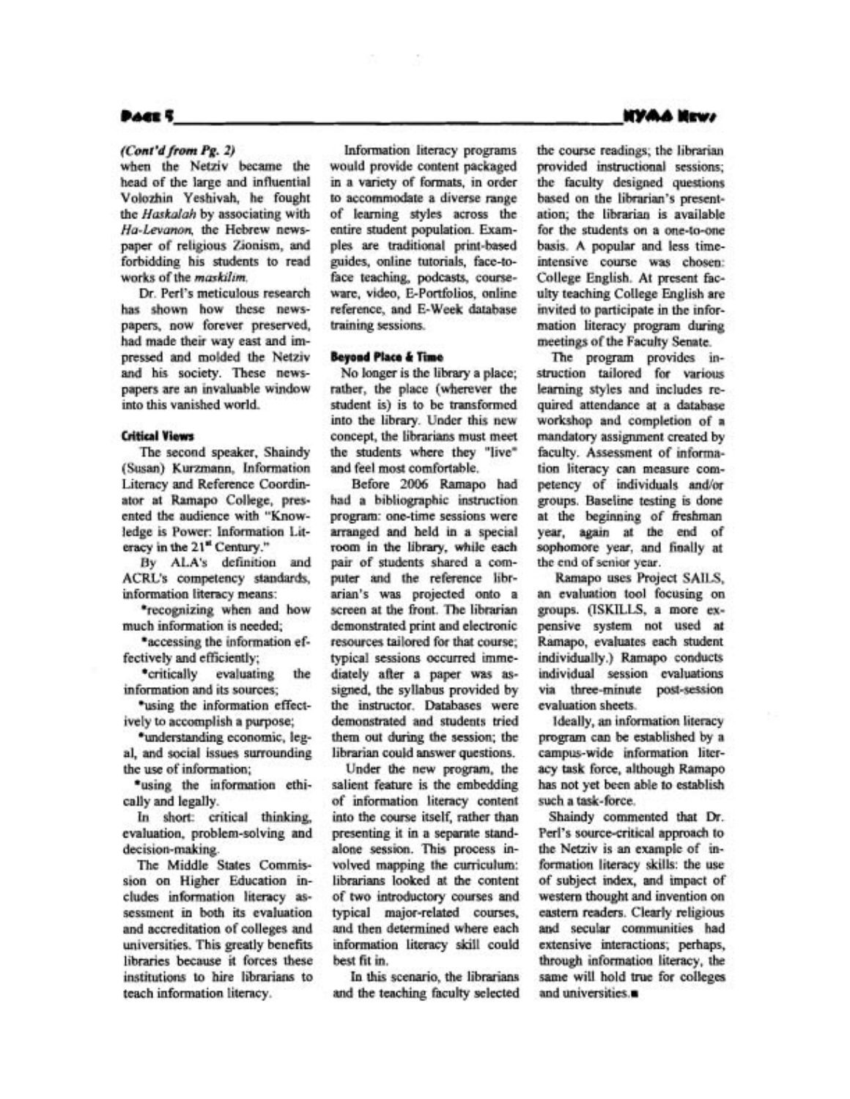#### **PACE S**

#### *(Cont'd from Pg. 2)*

when the Netziv became the head of the large and influential Volozhin Yeshivah, he fought the *Haskalah* by associating with *Ha-Levanon,* the Hebrew newspaper of religious Zionism, and forbidding his students to read works of the *maskilim.* 

Dr. Perl's meticulous research has shown how these newspapers, now forever preserved, had made their way east and impressed and molded the Netziv and his society. These newspapers are an invaluable window into this vanished world.

#### **Critical Views**

The second speaker, Shaindy (Susan) Kurzmann, Information Literacy and Reference Coordinator at Ramapo College, presented the audience with "Knowledge is Power: Information Literacy in the **21\*** Century."

**By ALA's** definition and ACRL's competency standards, information literacy means:

\*recognizing when and how much information is needed;

\*accessing the information effectively and efficiently;

\*critically evaluating the information and its sources;

\*using the information effectively to accomplish a purpose;

\*understanding economic, legal, and social issues surrounding the use of information;

\*using the information ethically and legally.

In short: critical thinking, evaluation, problem-solving and decision-making.

The Middle States Commission on Higher Education includes information literacy assessment in both its evaluation and accreditation of colleges and universities. This greatly benefits libraries because it forces these institutions to hire librarians to teach information literacy.

Information literacy programs would provide content packaged in a variety of formats, in order to accommodate a diverse range of learning styles across the entire student population. Examples are traditional print-based guides, online tutorials, face-toface teaching, podcasts, courseware, video, E-Portfolios, online reference, and E-Week database training sessions.

#### **Beyond Place & Time**

No longer is the library a place; rather, the place (wherever the student is) is to be transformed into the library. Under this new concept, the librarians must meet the students where they "live" and feel most comfortable.

Before 2006 Ramapo had had a bibliographic instruction program: one-time sessions were arranged and held in a special room in the library, while each pair of students shared a computer and the reference librarian's was projected onto a screen at the fiont. The librarian demonstrated print and electronic resources tailored for that course; typical sessions occurred immediately after a paper was assigned, the syllabus provided by the instructor. Databases were demonstrated and students tried them out during the session; the librarian could answer questions.

Under the new program, the salient feature is the embedding of information literacy content into the course itself, rather than presenting it in a separate standalone session. This process involved mapping the curriculum: librarians looked at the content of two introductory courses and typical major-related courses, and then determined where each information literacy skill could best fit in.

In this scenario, the librarians and the teaching faculty selected the course readings; the librarian provided instructional sessions; the faculty designed questions based on the librarian's presentation; the librarian is available for the students on a one-to-one basis. A popular and less timeintensive course was chosen: College English. At present faculty teaching College English are invited to participate in the information literacy program during meetings of the Faculty Senate.

The program provides instruction tailored for various learning styles and includes required attendance at a database workshop and completion of a mandatory assignment created by faculty. Assessment of information literacy can measure competency of individuals and/or groups. Baseline testing is done at the beginning of freshman year, again at the end of sophomore year, and fiaally at the end of **senior year.** 

Ramapo uses Project SAILS, an evaluation tool focusing on groups. (ISKILLS, a more expensive system not used **at**  Ramapo, evaluates each student individually.) Ramapo conducts individual session evaluations via three-minute post-session evaluation sheets.

Ideally, an information literacy program can be established by a campus-wide information literacy **task** force, although Ramapo has not yet been able to establish such a task-force.

Shaindy commented that Dr. Perl's source-critical approach to the Netziv is an example of information literacy skills: the use of subject index, and impact of western thought and invention on eastern readers. Clearly religious and secular communities had extensive interactions; perhaps, through information literacy, the same wiU hold true for colleges and universities.<sup>a</sup>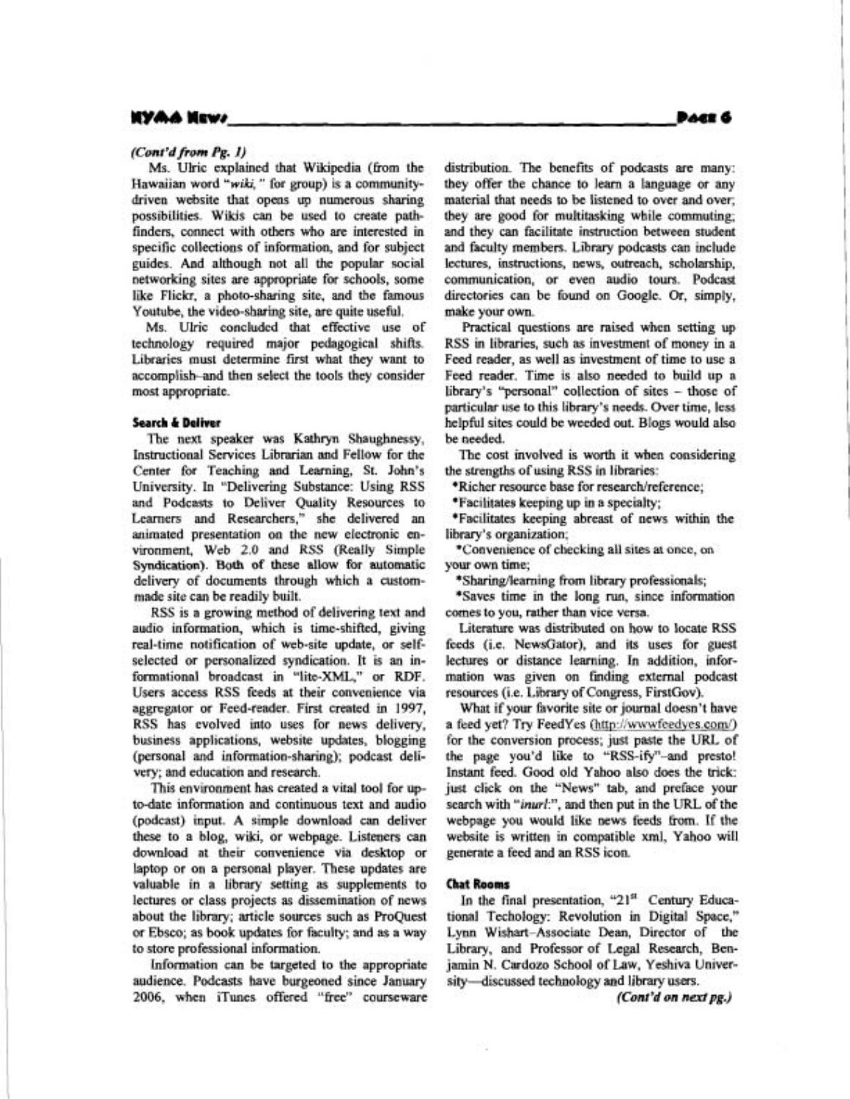#### **(Con***t***'dfrom Pg. I)**

Ms. Ulric explained that Wikipedia (from the Hawaiian word *"wiki,*" for group) is a comrnunitydriven website that opens up numerous sharing possibilities. Wikis can be used to create pathfinders, connect with others who are interested in specific collections of information, and for subject guides. And although not all the popular social networking sites are appropriate for schools, some like Flickr, a photo-sharing site, and the famous Youtube, the video-sharing site, are quite useful.

Ms. Ulric concluded that effective use of technology required major pedagogical shifts. Libraries must determine first what they want to accomplish-and then select the tools they consider most appropriate.

#### **Search 6 Deliver**

The next speaker was Kathryn Shaughnessy, Instructional Services Librarian and Fellow for the Center for Teaching and Learning, St. John's University. In "Delivering Substance: Using RSS and Podcasts to Deliver Quality Resources to Learners and Researchers," she delivered an animated presentation on the new electronic environment, Web *2.0* and RSS (Really Simple Syndication). Both of these allow for automatic delivery of documents through which a custommade site can be readily built.

RSS is a growing method of delivering text and audio information, which is time-shifted, giving real-time notification of web-site update, or selfselected or personalized syndication. It is an informational broadcast in "lite-XML," or RDF. Users access RSS feeds at their convenience via aggregator or Feed-reader. First created in 1997, RSS has evolved into uses for news delivery, business applications, website updates, blogging (personal and information-sharing); podcast delivery; and education and research.

This environment has created a vital tool for upto-date information and continuous text and audio (podcast) input. A simple download can deliver these to a blog, wiki, or webpage. Listeners can download at their convenience via desktop or laptop or on a personal player. These updates are valuable in a library setting as supplements to lectures or class projects as dissemination of news about the library; article sources such as ProQuest or Ebsco; as book updates for faculty; and as a way to store professional information.

Information can be targeted to the appropriate audience. Podcasts have burgeoned since January 2006, when iTunes offered "Eree" courseware distribution. The benefits of podcasts are many: they offer the chance to learn a language or any material that needs to be listened to over and over; they are good for multitasking while commuting; and they can facilitate instruction between student and faculty members. Library podcasts can include lectures, instructions, news, outreach, scholarship, communication, or even audio tours. Podcast directories can be found on Google. Or, simply, make your own.

Practical questions are raised when setting up RSS in libraries, such as investment of money in a Feed reader, as well as investment of time to use a Feed reader. Time is also needed to build up a library's "personal" collection of sites - those of particular use to this library's needs. Over time, less helpful sites could be weeded out. Blogs would also be needed.

The cost involved is worth it when considering the strengths of using RSS in libraries:

\*Richer resource base for research/reference;

\*Facilitates keeping up in a specialty;

\*Facilitates keeping abreast of news within the library's organization;

\*Convenience of checking all sites at once, on your own time;

\*Sharing/leaming from library professionals;

\*Saves time in the long **run,** since information comes to you, rather than vice versa.

Literature was distributed on how to locate RSS feeds (i.e. NewsGator), and its uses for guest lectures or distance learning. In addition, information was given on fmding external podcast resources (i.e. Library of Congress, FirstGov).

What if your favorite site or journal doesn't have a feed yet? Try FeedYes (http://wwwfeedyes.com/) for the conversion process; just paste the **URL** of the page you'd like to "RSS-ify"-and presto! Instant feed. Good old Yahoo also does the trick: just click on the "News" tab, and preface your search with "inurl:", and then put in the URL of the webpage you would like news feeds Erom. If the website is written in compatible xml, Yahoo will generate a feed and an RSS icon.

#### **Chat Rooms**

In the final presentation, "21<sup>st</sup> Century Educational Techology: Revolution in Digital Space," Lynn Wishart-Associate Dean, Director of the Library, and Professor of Legal Research, Benjamin N. Cardozo School of Law, Yeshiva University-discussed technology and library users.

**(Cont'd on** *nexlpg.)*